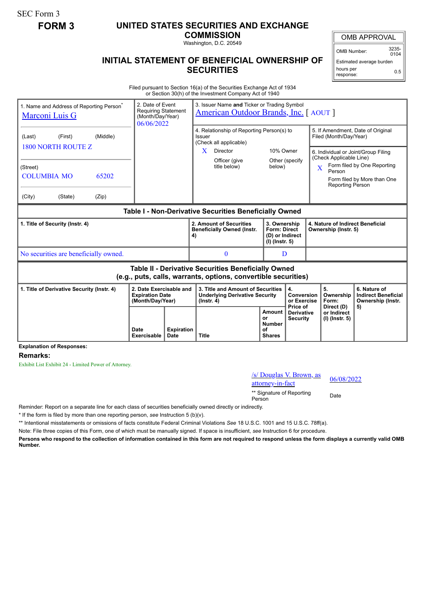SEC Form 3

## **FORM 3 UNITED STATES SECURITIES AND EXCHANGE**

**COMMISSION**

Washington, D.C. 20549

## **INITIAL STATEMENT OF BENEFICIAL OWNERSHIP OF SECURITIES**

OMB APPROVAL

OMB Number: 3235-  $0104$ 

Estimated average burden hours per response: 0.5

Filed pursuant to Section 16(a) of the Securities Exchange Act of 1934 or Section 30(h) of the Investment Company Act of 1940

| 1. Name and Address of Reporting Person <sup>®</sup><br><b>Marconi Luis G</b>                                         | 2. Date of Event<br><b>Requiring Statement</b><br>(Month/Day/Year)<br>06/06/2022 |                            | 3. Issuer Name and Ticker or Trading Symbol<br><b>American Outdoor Brands, Inc.</b> [AOUT] |                                                                                                |                        |                                                                                                                  |                                                                            |                |                                                          |                                                                                        |                                                                                                                                        |
|-----------------------------------------------------------------------------------------------------------------------|----------------------------------------------------------------------------------|----------------------------|--------------------------------------------------------------------------------------------|------------------------------------------------------------------------------------------------|------------------------|------------------------------------------------------------------------------------------------------------------|----------------------------------------------------------------------------|----------------|----------------------------------------------------------|----------------------------------------------------------------------------------------|----------------------------------------------------------------------------------------------------------------------------------------|
| (Last)<br><b>1800 NORTH ROUTE Z</b><br>(Street)<br><b>COLUMBIA MO</b><br>(City)                                       | (First)<br>(State)                                                               | (Middle)<br>65202<br>(Zip) |                                                                                            |                                                                                                | Issuer<br>$\mathbf{X}$ | 4. Relationship of Reporting Person(s) to<br>(Check all applicable)<br>Director<br>Officer (give<br>title below) | 10% Owner<br>below)                                                        | Other (specify |                                                          | Filed (Month/Day/Year)<br>(Check Applicable Line)<br>Person<br><b>Reporting Person</b> | 5. If Amendment, Date of Original<br>6. Individual or Joint/Group Filing<br>Form filed by One Reporting<br>Form filed by More than One |
| Table I - Non-Derivative Securities Beneficially Owned                                                                |                                                                                  |                            |                                                                                            |                                                                                                |                        |                                                                                                                  |                                                                            |                |                                                          |                                                                                        |                                                                                                                                        |
| 1. Title of Security (Instr. 4)                                                                                       |                                                                                  |                            |                                                                                            |                                                                                                | 4)                     | 2. Amount of Securities<br><b>Beneficially Owned (Instr.</b>                                                     | 3. Ownership<br><b>Form: Direct</b><br>(D) or Indirect<br>$(I)$ (lnstr. 5) |                | 4. Nature of Indirect Beneficial<br>Ownership (Instr. 5) |                                                                                        |                                                                                                                                        |
| No securities are beneficially owned.                                                                                 |                                                                                  |                            |                                                                                            |                                                                                                |                        | $\mathbf{0}$                                                                                                     | D                                                                          |                |                                                          |                                                                                        |                                                                                                                                        |
| Table II - Derivative Securities Beneficially Owned<br>(e.g., puts, calls, warrants, options, convertible securities) |                                                                                  |                            |                                                                                            |                                                                                                |                        |                                                                                                                  |                                                                            |                |                                                          |                                                                                        |                                                                                                                                        |
| 2. Date Exercisable and<br>1. Title of Derivative Security (Instr. 4)<br><b>Expiration Date</b><br>(Month/Day/Year)   |                                                                                  |                            |                                                                                            | 3. Title and Amount of Securities<br><b>Underlying Derivative Security</b><br>$($ lnstr. 4 $)$ |                        |                                                                                                                  | 4.<br>Conversion<br>or Exercise<br>Price of                                |                | 5.<br>Ownership<br>Form:<br>Direct (D)                   | 6. Nature of<br><b>Indirect Beneficial</b><br>Ownership (Instr.                        |                                                                                                                                        |
|                                                                                                                       |                                                                                  | Date<br><b>Exercisable</b> | <b>Expiration</b><br><b>Date</b>                                                           | <b>Title</b>                                                                                   |                        | <b>Amount</b><br>or<br><b>Number</b><br>οf<br><b>Shares</b>                                                      | <b>Derivative</b><br><b>Security</b>                                       |                | or Indirect<br>$(I)$ (Instr. 5)                          | 5)                                                                                     |                                                                                                                                        |

**Explanation of Responses:**

## **Remarks:**

Exhibit List Exhibit 24 - Limited Power of Attorney.

## /s/ Douglas V. Brown, as  $\frac{\text{S}}{\text{S}}$  Douglas V. Brown, as  $\frac{06}{08/2022}$

\*\* Signature of Reporting Person Date

Reminder: Report on a separate line for each class of securities beneficially owned directly or indirectly.

\* If the form is filed by more than one reporting person, *see* Instruction 5 (b)(v).

\*\* Intentional misstatements or omissions of facts constitute Federal Criminal Violations *See* 18 U.S.C. 1001 and 15 U.S.C. 78ff(a).

Note: File three copies of this Form, one of which must be manually signed. If space is insufficient, *see* Instruction 6 for procedure.

**Persons who respond to the collection of information contained in this form are not required to respond unless the form displays a currently valid OMB Number.**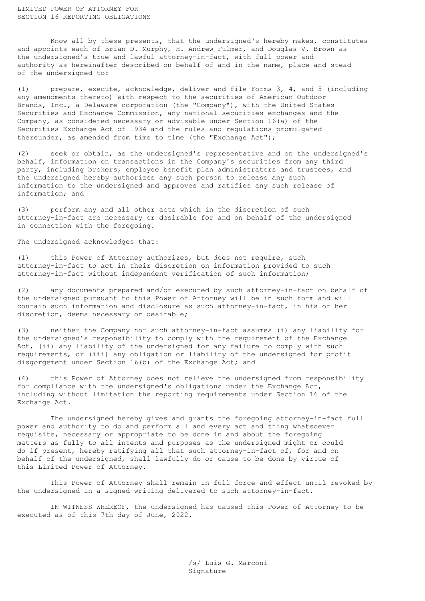LIMITED POWER OF ATTORNEY FOR SECTION 16 REPORTING OBLIGATIONS

Know all by these presents, that the undersigned's hereby makes, constitutes and appoints each of Brian D. Murphy, H. Andrew Fulmer, and Douglas V. Brown as the undersigned's true and lawful attorney-in-fact, with full power and authority as hereinafter described on behalf of and in the name, place and stead of the undersigned to:

(1) prepare, execute, acknowledge, deliver and file Forms 3, 4, and 5 (including any amendments thereto) with respect to the securities of American Outdoor Brands, Inc., a Delaware corporation (the "Company"), with the United States Securities and Exchange Commission, any national securities exchanges and the Company, as considered necessary or advisable under Section 16(a) of the Securities Exchange Act of 1934 and the rules and regulations promulgated thereunder, as amended from time to time (the "Exchange Act");

(2) seek or obtain, as the undersigned's representative and on the undersigned's behalf, information on transactions in the Company's securities from any third party, including brokers, employee benefit plan administrators and trustees, and the undersigned hereby authorizes any such person to release any such information to the undersigned and approves and ratifies any such release of information; and

(3) perform any and all other acts which in the discretion of such attorney-in-fact are necessary or desirable for and on behalf of the undersigned in connection with the foregoing.

The undersigned acknowledges that:

(1) this Power of Attorney authorizes, but does not require, such attorney-in-fact to act in their discretion on information provided to such attorney-in-fact without independent verification of such information;

(2) any documents prepared and/or executed by such attorney-in-fact on behalf of the undersigned pursuant to this Power of Attorney will be in such form and will contain such information and disclosure as such attorney-in-fact, in his or her discretion, deems necessary or desirable;

(3) neither the Company nor such attorney-in-fact assumes (i) any liability for the undersigned's responsibility to comply with the requirement of the Exchange Act, (ii) any liability of the undersigned for any failure to comply with such requirements, or (iii) any obligation or liability of the undersigned for profit disgorgement under Section 16(b) of the Exchange Act; and

(4) this Power of Attorney does not relieve the undersigned from responsibility for compliance with the undersigned's obligations under the Exchange Act, including without limitation the reporting requirements under Section 16 of the Exchange Act.

The undersigned hereby gives and grants the foregoing attorney-in-fact full power and authority to do and perform all and every act and thing whatsoever requisite, necessary or appropriate to be done in and about the foregoing matters as fully to all intents and purposes as the undersigned might or could do if present, hereby ratifying all that such attorney-in-fact of, for and on behalf of the undersigned, shall lawfully do or cause to be done by virtue of this Limited Power of Attorney.

This Power of Attorney shall remain in full force and effect until revoked by the undersigned in a signed writing delivered to such attorney-in-fact.

IN WITNESS WHEREOF, the undersigned has caused this Power of Attorney to be executed as of this 7th day of June, 2022.